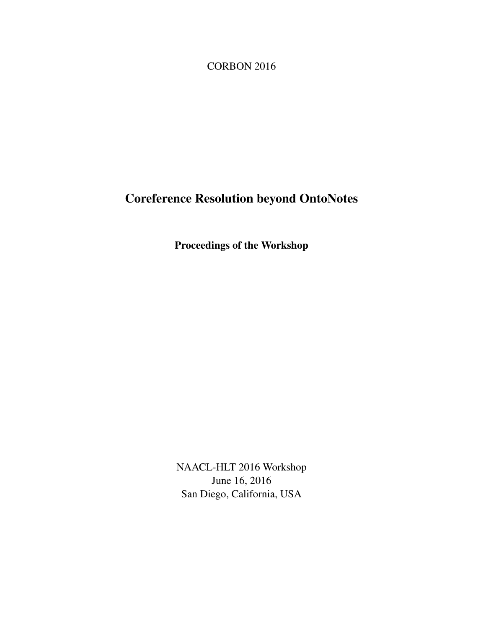<span id="page-0-0"></span>CORBON 2016

# Coreference Resolution beyond OntoNotes

Proceedings of the Workshop

NAACL-HLT 2016 Workshop June 16, 2016 San Diego, California, USA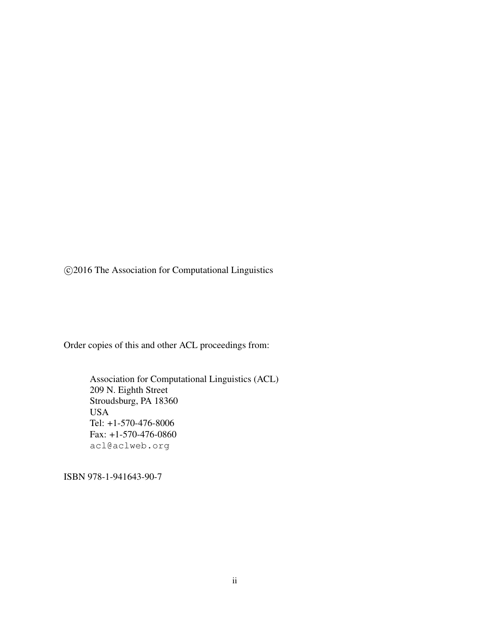c 2016 The Association for Computational Linguistics

Order copies of this and other ACL proceedings from:

Association for Computational Linguistics (ACL) 209 N. Eighth Street Stroudsburg, PA 18360 USA Tel: +1-570-476-8006 Fax: +1-570-476-0860 acl@aclweb.org

ISBN 978-1-941643-90-7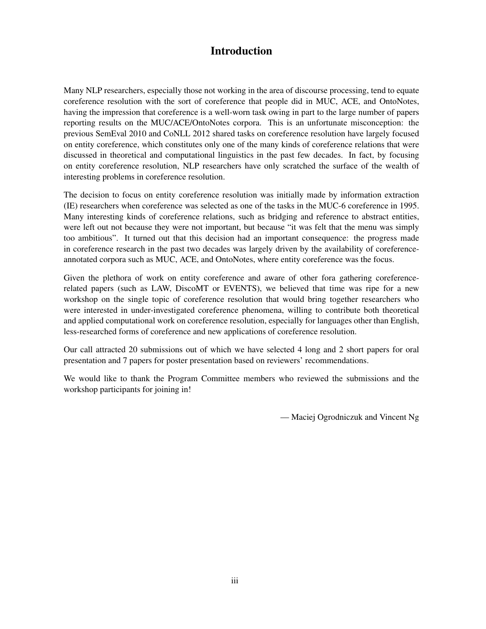# Introduction

Many NLP researchers, especially those not working in the area of discourse processing, tend to equate coreference resolution with the sort of coreference that people did in MUC, ACE, and OntoNotes, having the impression that coreference is a well-worn task owing in part to the large number of papers reporting results on the MUC/ACE/OntoNotes corpora. This is an unfortunate misconception: the previous SemEval 2010 and CoNLL 2012 shared tasks on coreference resolution have largely focused on entity coreference, which constitutes only one of the many kinds of coreference relations that were discussed in theoretical and computational linguistics in the past few decades. In fact, by focusing on entity coreference resolution, NLP researchers have only scratched the surface of the wealth of interesting problems in coreference resolution.

The decision to focus on entity coreference resolution was initially made by information extraction (IE) researchers when coreference was selected as one of the tasks in the MUC-6 coreference in 1995. Many interesting kinds of coreference relations, such as bridging and reference to abstract entities, were left out not because they were not important, but because "it was felt that the menu was simply too ambitious". It turned out that this decision had an important consequence: the progress made in coreference research in the past two decades was largely driven by the availability of coreferenceannotated corpora such as MUC, ACE, and OntoNotes, where entity coreference was the focus.

Given the plethora of work on entity coreference and aware of other fora gathering coreferencerelated papers (such as LAW, DiscoMT or EVENTS), we believed that time was ripe for a new workshop on the single topic of coreference resolution that would bring together researchers who were interested in under-investigated coreference phenomena, willing to contribute both theoretical and applied computational work on coreference resolution, especially for languages other than English, less-researched forms of coreference and new applications of coreference resolution.

Our call attracted 20 submissions out of which we have selected 4 long and 2 short papers for oral presentation and 7 papers for poster presentation based on reviewers' recommendations.

We would like to thank the Program Committee members who reviewed the submissions and the workshop participants for joining in!

— Maciej Ogrodniczuk and Vincent Ng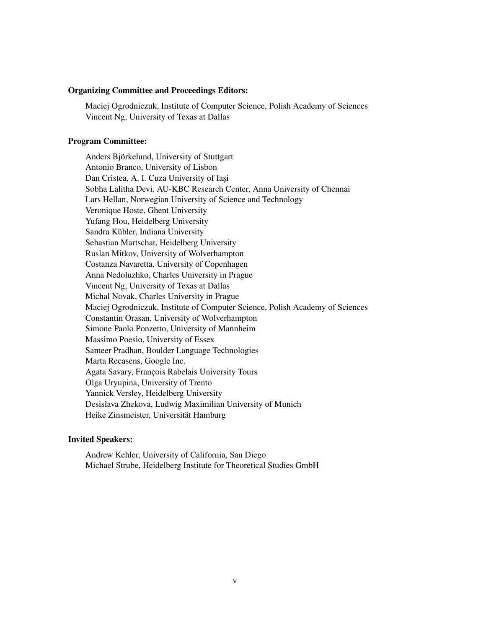#### Organizing Committee and Proceedings Editors:

Maciej Ogrodniczuk, Institute of Computer Science, Polish Academy of Sciences Vincent Ng, University of Texas at Dallas

### Program Committee:

Anders Björkelund, University of Stuttgart Antonio Branco, University of Lisbon Dan Cristea, A. I. Cuza University of Iași Sobha Lalitha Devi, AU-KBC Research Center, Anna University of Chennai Lars Hellan, Norwegian University of Science and Technology Veronique Hoste, Ghent University Yufang Hou, Heidelberg University Sandra Kübler, Indiana University Sebastian Martschat, Heidelberg University Ruslan Mitkov, University of Wolverhampton Costanza Navaretta, University of Copenhagen Anna Nedoluzhko, Charles University in Prague Vincent Ng, University of Texas at Dallas Michal Novak, Charles University in Prague Maciej Ogrodniczuk, Institute of Computer Science, Polish Academy of Sciences Constantin Orasan, University of Wolverhampton Simone Paolo Ponzetto, University of Mannheim Massimo Poesio, University of Essex Sameer Pradhan, Boulder Language Technologies Marta Recasens, Google Inc. Agata Savary, François Rabelais University Tours Olga Uryupina, University of Trento Yannick Versley, Heidelberg University Desislava Zhekova, Ludwig Maximilian University of Munich Heike Zinsmeister, Universität Hamburg

#### Invited Speakers:

Andrew Kehler, University of California, San Diego Michael Strube, Heidelberg Institute for Theoretical Studies GmbH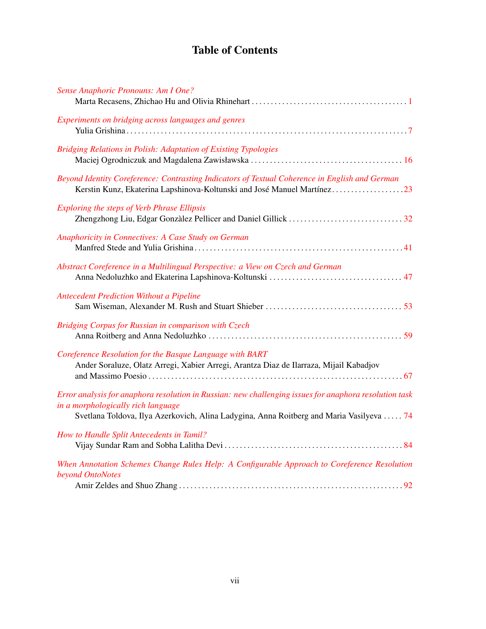# Table of Contents

| Sense Anaphoric Pronouns: Am I One?                                                                                                                                                                                                      |  |
|------------------------------------------------------------------------------------------------------------------------------------------------------------------------------------------------------------------------------------------|--|
| Experiments on bridging across languages and genres                                                                                                                                                                                      |  |
| <b>Bridging Relations in Polish: Adaptation of Existing Typologies</b>                                                                                                                                                                   |  |
| Beyond Identity Coreference: Contrasting Indicators of Textual Coherence in English and German<br>Kerstin Kunz, Ekaterina Lapshinova-Koltunski and José Manuel Martínez23                                                                |  |
| <b>Exploring the steps of Verb Phrase Ellipsis</b>                                                                                                                                                                                       |  |
| Anaphoricity in Connectives: A Case Study on German                                                                                                                                                                                      |  |
| Abstract Coreference in a Multilingual Perspective: a View on Czech and German                                                                                                                                                           |  |
| <b>Antecedent Prediction Without a Pipeline</b>                                                                                                                                                                                          |  |
| Bridging Corpus for Russian in comparison with Czech                                                                                                                                                                                     |  |
| Coreference Resolution for the Basque Language with BART<br>Ander Soraluze, Olatz Arregi, Xabier Arregi, Arantza Diaz de Ilarraza, Mijail Kabadjov                                                                                       |  |
| Error analysis for anaphora resolution in Russian: new challenging issues for anaphora resolution task<br>in a morphologically rich language<br>Svetlana Toldova, Ilya Azerkovich, Alina Ladygina, Anna Roitberg and Maria Vasilyeva  74 |  |
| How to Handle Split Antecedents in Tamil?                                                                                                                                                                                                |  |
| When Annotation Schemes Change Rules Help: A Configurable Approach to Coreference Resolution<br>beyond OntoNotes                                                                                                                         |  |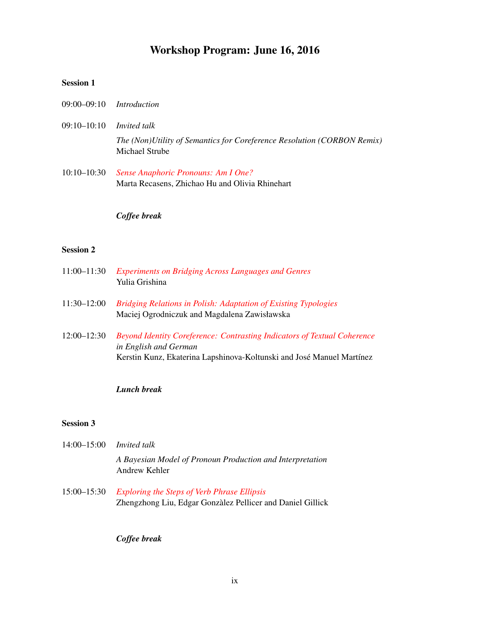## Workshop Program: June 16, 2016

## Session 1

- 09:00–09:10 *Introduction*
- 09:10–10:10 *Invited talk The (Non)Utility of Semantics for Coreference Resolution (CORBON Remix)* Michael Strube
- 10:10–10:30 *[Sense Anaphoric Pronouns: Am I One?](#page-0-0)* Marta Recasens, Zhichao Hu and Olivia Rhinehart

### *Coffee break*

### Session 2

- 11:00–11:30 *[Experiments on Bridging Across Languages and Genres](#page-0-0)* Yulia Grishina
- 11:30–12:00 *[Bridging Relations in Polish: Adaptation of Existing Typologies](#page-0-0)* Maciej Ogrodniczuk and Magdalena Zawisławska
- 12:00–12:30 *[Beyond Identity Coreference: Contrasting Indicators of Textual Coherence](#page-0-0) in English and German* Kerstin Kunz, Ekaterina Lapshinova-Koltunski and José Manuel Martínez

### *Lunch break*

### Session 3

- 14:00–15:00 *Invited talk A Bayesian Model of Pronoun Production and Interpretation* Andrew Kehler
- 15:00–15:30 *[Exploring the Steps of Verb Phrase Ellipsis](#page-0-0)* Zhengzhong Liu, Edgar Gonzàlez Pellicer and Daniel Gillick

*Coffee break*